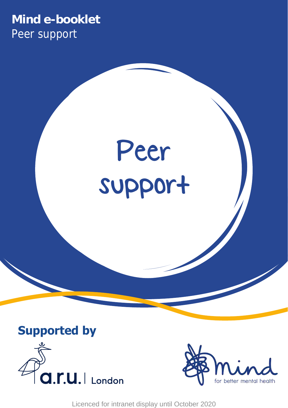# **Mind e-booklet** Peer support









Licenced for intranet display until October 2020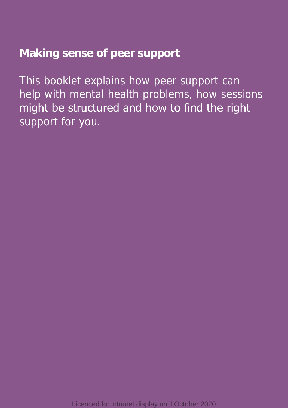# **Making sense of peer support**

This booklet explains how peer support can help with mental health problems, how sessions might be structured and how to find the right support for you.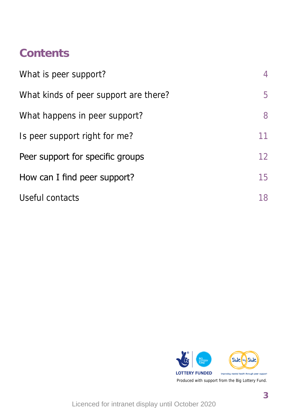# **Contents**

| What is peer support?                 | 4  |
|---------------------------------------|----|
| What kinds of peer support are there? | 5  |
| What happens in peer support?         | 8  |
| Is peer support right for me?         | 11 |
| Peer support for specific groups      | 12 |
| How can I find peer support?          | 15 |
| Useful contacts                       | 18 |

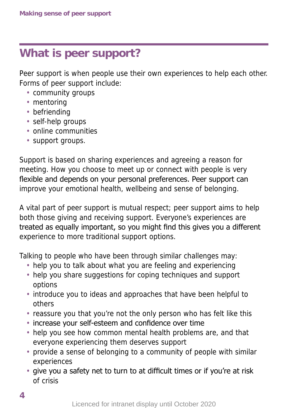# **What is peer support?**

Peer support is when people use their own experiences to help each other. Forms of peer support include:

- community groups
- mentoring
- befriending
- self-help groups
- online communities
- support groups.

Support is based on sharing experiences and agreeing a reason for meeting. How you choose to meet up or connect with people is very flexible and depends on your personal preferences. Peer support can improve your emotional health, wellbeing and sense of belonging.

A vital part of peer support is mutual respect; peer support aims to help both those giving and receiving support. Everyone's experiences are treated as equally important, so you might find this gives you a different experience to more traditional support options.

Talking to people who have been through similar challenges may:

- help you to talk about what you are feeling and experiencing
- help you share suggestions for coping techniques and support options
- introduce you to ideas and approaches that have been helpful to others
- reassure you that you're not the only person who has felt like this
- increase your self-esteem and confidence over time
- help you see how common mental health problems are, and that everyone experiencing them deserves support
- provide a sense of belonging to a community of people with similar experiences
- give you a safety net to turn to at difficult times or if you're at risk of crisis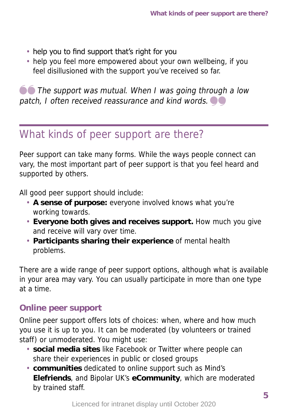- help you to find support that's right for you
- help you feel more empowered about your own wellbeing, if you feel disillusioned with the support you've received so far.

**O** The support was mutual. When I was going through a low patch, I often received reassurance and kind words.  $\bullet$ 

# What kinds of peer support are there?

Peer support can take many forms. While the ways people connect can vary, the most important part of peer support is that you feel heard and supported by others.

All good peer support should include:

- **A sense of purpose:** everyone involved knows what you're working towards.
- **Everyone both gives and receives support.** How much you give and receive will vary over time.
- **Participants sharing their experience** of mental health problems.

There are a wide range of peer support options, although what is available in your area may vary. You can usually participate in more than one type at a time.

# **Online peer support**

Online peer support offers lots of choices: when, where and how much you use it is up to you. It can be moderated (by volunteers or trained staff) or unmoderated. You might use:

- **social media sites** like Facebook or Twitter where people can share their experiences in public or closed groups
- **4 5** • **communities** dedicated to online support such as Mind's **Elefriends**, and Bipolar UK's **eCommunity**, which are moderated by trained staff.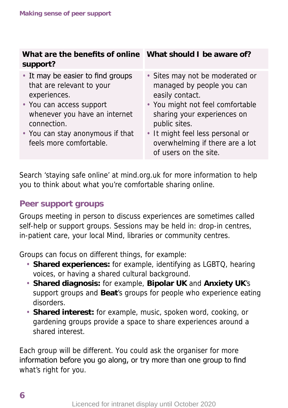| What are the benefits of online What should I be aware of?<br>support?                                                                                                                                                    |                                                                                                                                                                                                                                                                     |
|---------------------------------------------------------------------------------------------------------------------------------------------------------------------------------------------------------------------------|---------------------------------------------------------------------------------------------------------------------------------------------------------------------------------------------------------------------------------------------------------------------|
| • It may be easier to find groups<br>that are relevant to your<br>experiences.<br>• You can access support<br>whenever you have an internet<br>connection.<br>• You can stay anonymous if that<br>feels more comfortable. | • Sites may not be moderated or<br>managed by people you can<br>easily contact.<br>• You might not feel comfortable<br>sharing your experiences on<br>public sites.<br>• It might feel less personal or<br>overwhelming if there are a lot<br>of users on the site. |

Search 'staying safe online' at mind.org.uk for more information to help you to think about what you're comfortable sharing online.

# **Peer support groups**

Groups meeting in person to discuss experiences are sometimes called self-help or support groups. Sessions may be held in: drop-in centres, in-patient care, your local Mind, libraries or community centres.

Groups can focus on different things, for example:

- **Shared experiences:** for example, identifying as LGBTQ, hearing voices, or having a shared cultural background.
- **Shared diagnosis:** for example, **Bipolar UK** and **Anxiety UK**'s support groups and **Beat**'s groups for people who experience eating disorders.
- **Shared interest:** for example, music, spoken word, cooking, or gardening groups provide a space to share experiences around a shared interest.

Each group will be different. You could ask the organiser for more information before you go along, or try more than one group to find what's right for you.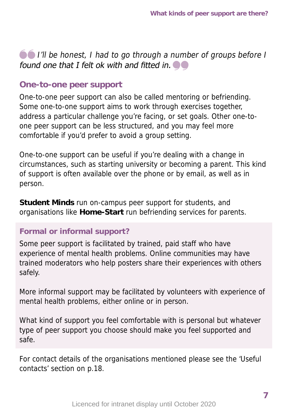# **O** I'll be honest, I had to go through a number of groups before I found one that I felt ok with and fitted in.  $\bullet$

### **One-to-one peer support**

One-to-one peer support can also be called mentoring or befriending. Some one-to-one support aims to work through exercises together, address a particular challenge you're facing, or set goals. Other one-toone peer support can be less structured, and you may feel more comfortable if you'd prefer to avoid a group setting.

One-to-one support can be useful if you're dealing with a change in circumstances, such as starting university or becoming a parent. This kind of support is often available over the phone or by email, as well as in person.

**Student Minds** run on-campus peer support for students, and organisations like **Home-Start** run befriending services for parents.

#### **Formal or informal support?**

Some peer support is facilitated by trained, paid staff who have experience of mental health problems. Online communities may have trained moderators who help posters share their experiences with others safely.

More informal support may be facilitated by volunteers with experience of mental health problems, either online or in person.

What kind of support you feel comfortable with is personal but whatever type of peer support you choose should make you feel supported and safe.

For contact details of the organisations mentioned please see the 'Useful contacts' section on p.18.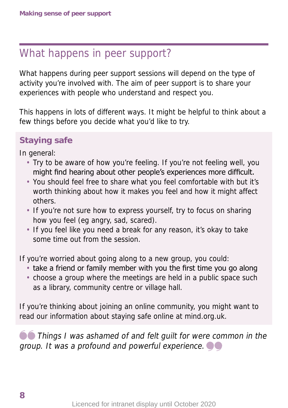# What happens in peer support?

What happens during peer support sessions will depend on the type of activity you're involved with. The aim of peer support is to share your experiences with people who understand and respect you.

This happens in lots of different ways. It might be helpful to think about a few things before you decide what you'd like to try.

# **Staying safe**

In general:

- Try to be aware of how you're feeling. If you're not feeling well, you might find hearing about other people's experiences more difficult.
- You should feel free to share what you feel comfortable with but it's worth thinking about how it makes you feel and how it might affect others.
- If you're not sure how to express yourself, try to focus on sharing how you feel (eg angry, sad, scared).
- If you feel like you need a break for any reason, it's okay to take some time out from the session.

If you're worried about going along to a new group, you could:

- take a friend or family member with you the first time you go along
- choose a group where the meetings are held in a public space such as a library, community centre or village hall.

If you're thinking about joining an online community, you might want to read our information about staying safe online at mind.org.uk.

**O** Things I was ashamed of and felt quilt for were common in the group. It was a profound and powerful experience.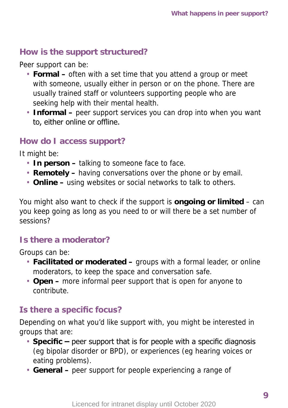## **How is the support structured?**

Peer support can be:

- **Formal** often with a set time that you attend a group or meet with someone, usually either in person or on the phone. There are usually trained staff or volunteers supporting people who are seeking help with their mental health.
- **Informal –** peer support services you can drop into when you want to, either online or offline.

## **How do I access support?**

It might be:

- **In person** talking to someone face to face.
- **Remotely –** having conversations over the phone or by email.
- **Online** using websites or social networks to talk to others.

You might also want to check if the support is **ongoing or limited** – can you keep going as long as you need to or will there be a set number of sessions?

# **Is there a moderator?**

Groups can be:

- **Facilitated or moderated –** groups with a formal leader, or online moderators, to keep the space and conversation safe.
- **Open –** more informal peer support that is open for anyone to contribute.

# **Is there a specific focus?**

Depending on what you'd like support with, you might be interested in groups that are:

- **Specific** peer support that is for people with a specific diagnosis (eg bipolar disorder or BPD), or experiences (eg hearing voices or eating problems).
- **General –** peer support for people experiencing a range of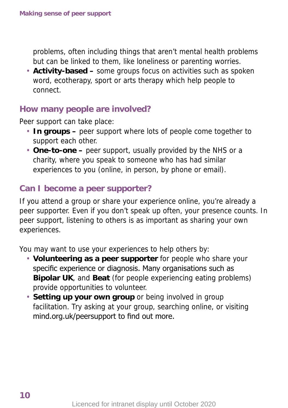problems, often including things that aren't mental health problems but can be linked to them, like loneliness or parenting worries.

• **Activity-based –** some groups focus on activities such as spoken word, ecotherapy, sport or arts therapy which help people to connect.

## **How many people are involved?**

Peer support can take place:

- **In groups –** peer support where lots of people come together to support each other.
- **One-to-one –** peer support, usually provided by the NHS or a charity, where you speak to someone who has had similar experiences to you (online, in person, by phone or email).

# **Can I become a peer supporter?**

If you attend a group or share your experience online, you're already a peer supporter. Even if you don't speak up often, your presence counts. In peer support, listening to others is as important as sharing your own experiences.

You may want to use your experiences to help others by:

- **Volunteering as a peer supporter** for people who share your specific experience or diagnosis. Many organisations such as **Bipolar UK**, and **Beat** (for people experiencing eating problems) provide opportunities to volunteer.
- **Setting up your own group** or being involved in group facilitation. Try asking at your group, searching online, or visiting mind.org.uk/peersupport to find out more.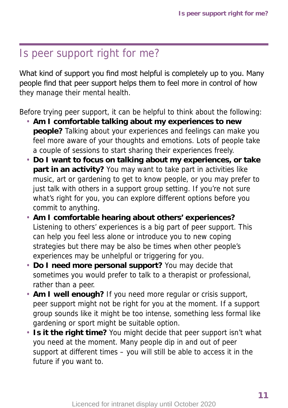# Is peer support right for me?

What kind of support you find most helpful is completely up to you. Many people find that peer support helps them to feel more in control of how they manage their mental health.

Before trying peer support, it can be helpful to think about the following:

- **Am I comfortable talking about my experiences to new people?** Talking about your experiences and feelings can make you feel more aware of your thoughts and emotions. Lots of people take a couple of sessions to start sharing their experiences freely.
- **Do I want to focus on talking about my experiences, or take part in an activity?** You may want to take part in activities like music, art or gardening to get to know people, or you may prefer to just talk with others in a support group setting. If you're not sure what's right for you, you can explore different options before you commit to anything.
- **Am I comfortable hearing about others' experiences?** Listening to others' experiences is a big part of peer support. This can help you feel less alone or introduce you to new coping strategies but there may be also be times when other people's experiences may be unhelpful or triggering for you.
- **Do I need more personal support?** You may decide that sometimes you would prefer to talk to a therapist or professional, rather than a peer.
- **Am I well enough?** If you need more regular or crisis support, peer support might not be right for you at the moment. If a support group sounds like it might be too intense, something less formal like gardening or sport might be suitable option.
- **Is it the right time?** You might decide that peer support isn't what you need at the moment. Many people dip in and out of peer support at different times – you will still be able to access it in the future if you want to.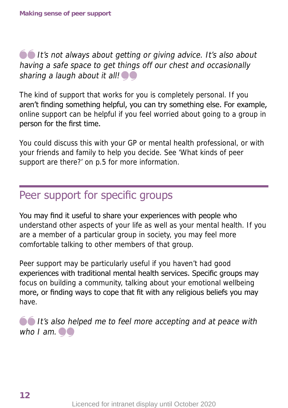# $\bullet\bullet$  It's not always about getting or giving advice. It's also about having a safe space to get things off our chest and occasionally sharing a laugh about it all!  $\bullet$

The kind of support that works for you is completely personal. If you aren't finding something helpful, you can try something else. For example, online support can be helpful if you feel worried about going to a group in person for the first time.

You could discuss this with your GP or mental health professional, or with your friends and family to help you decide. See 'What kinds of peer support are there?' on p.5 for more information.

# Peer support for specific groups

You may find it useful to share your experiences with people who understand other aspects of your life as well as your mental health. If you are a member of a particular group in society, you may feel more comfortable talking to other members of that group.

Peer support may be particularly useful if you haven't had good experiences with traditional mental health services. Specific groups may focus on building a community, talking about your emotional wellbeing more, or finding ways to cope that fit with any religious beliefs you may have.

**It's also helped me to feel more accepting and at peace with** who  $I$  am.  $\bullet \bullet$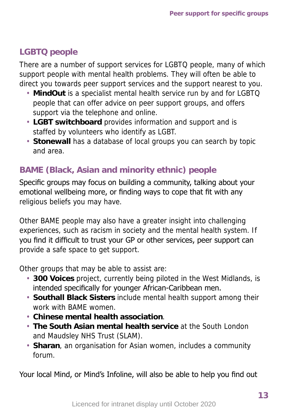# **LGBTQ people**

There are a number of support services for LGBTQ people, many of which support people with mental health problems. They will often be able to direct you towards peer support services and the support nearest to you.

- **MindOut** is a specialist mental health service run by and for LGBTQ people that can offer advice on peer support groups, and offers support via the telephone and online.
- **LGBT switchboard** provides information and support and is staffed by volunteers who identify as LGBT.
- **Stonewall** has a database of local groups you can search by topic and area.

# **BAME (Black, Asian and minority ethnic) people**

Specific groups may focus on building a community, talking about your emotional wellbeing more, or finding ways to cope that fit with any religious beliefs you may have.

Other BAME people may also have a greater insight into challenging experiences, such as racism in society and the mental health system. If you find it difficult to trust your GP or other services, peer support can provide a safe space to get support.

Other groups that may be able to assist are:

- **300 Voices** project, currently being piloted in the West Midlands, is intended specifically for younger African-Caribbean men.
- **Southall Black Sisters** include mental health support among their work with BAME women.
- **Chinese mental health association**.
- **The South Asian mental health service** at the South London and Maudsley NHS Trust (SLAM).
- **Sharan**, an organisation for Asian women, includes a community forum.

Your local Mind, or Mind's Infoline, will also be able to help you find out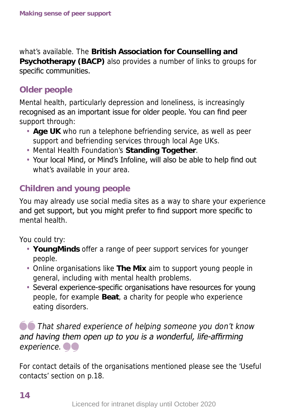what's available. The **British Association for Counselling and Psychotherapy (BACP)** also provides a number of links to groups for specific communities.

# **Older people**

Mental health, particularly depression and loneliness, is increasingly recognised as an important issue for older people. You can find peer support through:

- **Age UK** who run a telephone befriending service, as well as peer support and befriending services through local Age UKs.
- Mental Health Foundation's **Standing Together**.
- Your local Mind, or Mind's Infoline, will also be able to help find out what's available in your area.

# **Children and young people**

You may already use social media sites as a way to share your experience and get support, but you might prefer to find support more specific to mental health.

You could try:

- **YoungMinds** offer a range of peer support services for younger people.
- Online organisations like **The Mix** aim to support young people in general, including with mental health problems.
- Several experience-specific organisations have resources for young people, for example **Beat**, a charity for people who experience eating disorders.

**O** That shared experience of helping someone you don't know and having them open up to you is a wonderful, life-affirming experience.  $\bullet$ 

For contact details of the organisations mentioned please see the 'Useful contacts' section on p.18.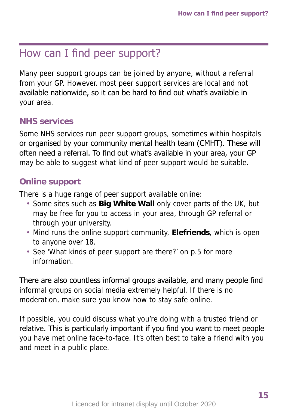# How can I find peer support?

Many peer support groups can be joined by anyone, without a referral from your GP. However, most peer support services are local and not available nationwide, so it can be hard to find out what's available in your area.

# **NHS services**

Some NHS services run peer support groups, sometimes within hospitals or organised by your community mental health team (CMHT). These will often need a referral. To find out what's available in your area, your GP may be able to suggest what kind of peer support would be suitable.

## **Online support**

There is a huge range of peer support available online:

- Some sites such as **Big White Wall** only cover parts of the UK, but may be free for you to access in your area, through GP referral or through your university.
- Mind runs the online support community, **Elefriends**, which is open to anyone over 18.
- See 'What kinds of peer support are there?' on p.5 for more information.

There are also countless informal groups available, and many people find informal groups on social media extremely helpful. If there is no moderation, make sure you know how to stay safe online.

If possible, you could discuss what you're doing with a trusted friend or relative. This is particularly important if you find you want to meet people you have met online face-to-face. It's often best to take a friend with you and meet in a public place.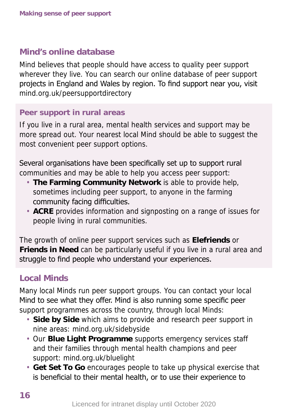## **Mind's online database**

Mind believes that people should have access to quality peer support wherever they live. You can search our online database of peer support projects in England and Wales by region. To find support near you, visit mind.org.uk/peersupportdirectory

#### **Peer support in rural areas**

If you live in a rural area, mental health services and support may be more spread out. Your nearest local Mind should be able to suggest the most convenient peer support options.

Several organisations have been specifically set up to support rural communities and may be able to help you access peer support:

- **The Farming Community Network** is able to provide help, sometimes including peer support, to anyone in the farming community facing difficulties.
- **ACRE** provides information and signposting on a range of issues for people living in rural communities.

The growth of online peer support services such as **Elefriends** or **Friends in Need** can be particularly useful if you live in a rural area and struggle to find people who understand your experiences.

# **Local Minds**

Many local Minds run peer support groups. You can contact your local Mind to see what they offer. Mind is also running some specific peer support programmes across the country, through local Minds:

- **Side by Side** which aims to provide and research peer support in nine areas: mind.org.uk/sidebyside
- Our **Blue Light Programme** supports emergency services staff and their families through mental health champions and peer support: mind.org.uk/bluelight
- **Get Set To Go** encourages people to take up physical exercise that is beneficial to their mental health, or to use their experience to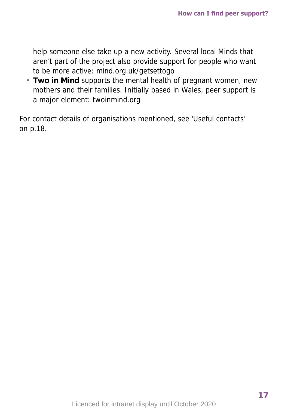help someone else take up a new activity. Several local Minds that aren't part of the project also provide support for people who want to be more active: mind.org.uk/getsettogo

• **Two in Mind** supports the mental health of pregnant women, new mothers and their families. Initially based in Wales, peer support is a major element: twoinmind.org

For contact details of organisations mentioned, see 'Useful contacts' on p.18.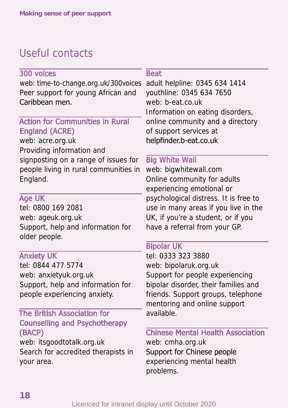# Useful contacts

300 voices web: time-to-change.org.uk/300voices Peer support for young African and Caribbean men.

# Action for Communities in Rural England (ACRE)

web: acre.org.uk Providing information and signposting on a range of issues for people living in rural communities in England.

## Age UK

tel: 0800 169 2081 web: ageuk.org.uk Support, help and information for older people.

## Anxiety UK

tel: 0844 477 5774 web: anxietyuk.org.uk Support, help and information for people experiencing anxiety.

#### The British Association for Counselling and Psychotherapy (BACP)

web: itsgoodtotalk.org.uk Search for accredited therapists in your area.

#### **Beat**

adult helpline: 0345 634 1414 youthline: 0345 634 7650 web: b-eat.co.uk Information on eating disorders, online community and a directory of support services at helpfinder.b-eat.co.uk

#### Big White Wall

web: bigwhitewall.com Online community for adults experiencing emotional or psychological distress. It is free to use in many areas if you live in the UK, if you're a student, or if you have a referral from your GP.

## Bipolar UK

tel: 0333 323 3880 web: bipolaruk.org.uk Support for people experiencing bipolar disorder, their families and friends. Support groups, telephone mentoring and online support available.

# Chinese Mental Health Association

web: cmha.org.uk Support for Chinese people experiencing mental health problems.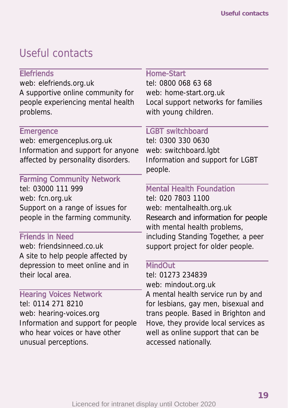# Useful contacts

## **Elefriends**

web: elefriends.org.uk A supportive online community for people experiencing mental health problems.

#### **Emergence**

web: emergenceplus.org.uk Information and support for anyone affected by personality disorders.

#### Farming Community Network tel: 03000 111 999

web: fcn.org.uk Support on a range of issues for people in the farming community.

#### Friends in Need

web: friendsinneed.co.uk A site to help people affected by depression to meet online and in their local area.

## Hearing Voices Network

tel: 0114 271 8210 web: hearing-voices.org Information and support for people who hear voices or have other unusual perceptions.

#### Home-Start

tel: 0800 068 63 68 web: home-start.org.uk Local support networks for families with young children.

## LGBT switchboard

tel: 0300 330 0630 web: switchboard.lgbt Information and support for LGBT people.

## Mental Health Foundation

tel: 020 7803 1100 web: mentalhealth.org.uk Research and information for people with mental health problems, including Standing Together, a peer support project for older people.

#### MindOut<sup>1</sup>

tel: 01273 234839 web: mindout.org.uk

A mental health service run by and for lesbians, gay men, bisexual and trans people. Based in Brighton and Hove, they provide local services as well as online support that can be accessed nationally.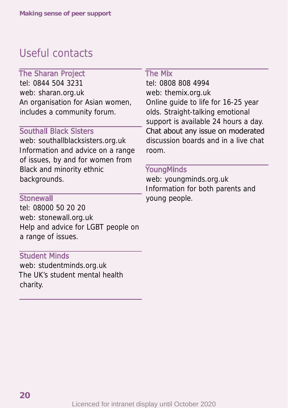# Useful contacts

#### The Sharan Project

tel: 0844 504 3231 web: sharan.org.uk An organisation for Asian women, includes a community forum.

#### Southall Black Sisters

web: southallblacksisters.org.uk Information and advice on a range of issues, by and for women from Black and minority ethnic backgrounds.

#### **Stonewall**

tel: 08000 50 20 20 web: stonewall.org.uk Help and advice for LGBT people on a range of issues.

#### Student Minds

web: studentminds.org.uk The UK's student mental health charity.

#### The Mix

tel: 0808 808 4994 web: themix.org.uk Online guide to life for 16-25 year olds. Straight-talking emotional support is available 24 hours a day. Chat about any issue on moderated discussion boards and in a live chat room.

#### **YoungMinds**

web: youngminds.org.uk Information for both parents and young people.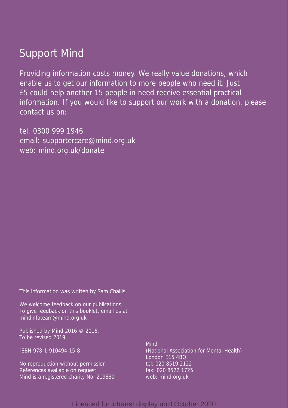# Support Mind

Providing information costs money. We really value donations, which enable us to get our information to more people who need it. Just £5 could help another 15 people in need receive essential practical information. If you would like to support our work with a donation, please contact us on:

tel: 0300 999 1946 email: supportercare@mind.org.uk web: mind.org.uk/donate

This information was written by Sam Challis.

We welcome feedback on our publications. To give feedback on this booklet, email us at mindinfoteam@mind.org.uk

Published by Mind 2016 © 2016. To be revised 2019.

ISBN 978-1-910494-15-8

No reproduction without permission References available on request Mind is a registered charity No. 219830

Mind (National Association for Mental Health) London E15 4BQ tel: 020 8519 2122 fax: 020 8522 1725 web: mind.org.uk